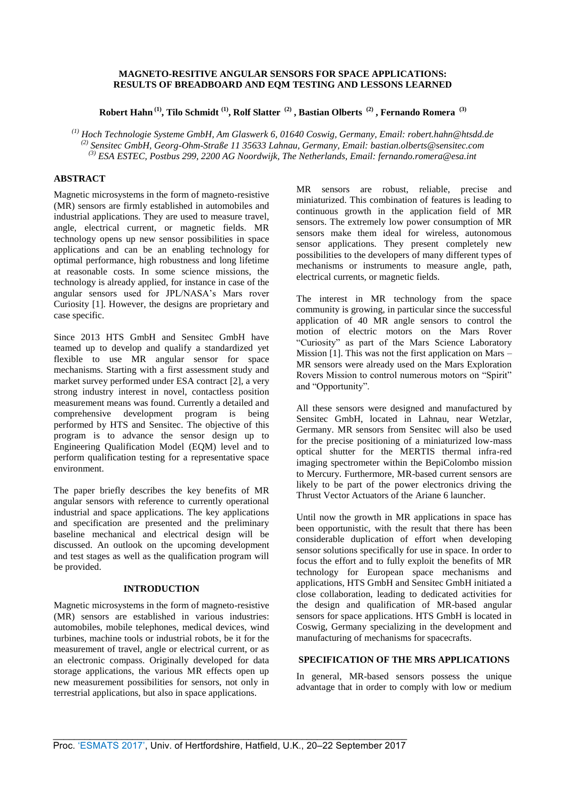# **MAGNETO-RESITIVE ANGULAR SENSORS FOR SPACE APPLICATIONS: RESULTS OF BREADBOARD AND EQM TESTING AND LESSONS LEARNED**

**Robert Hahn (1) , Tilo Schmidt (1) , Rolf Slatter (2) , Bastian Olberts (2) , Fernando Romera (3)**

*(1) Hoch Technologie Systeme GmbH, Am Glaswerk 6, 01640 Coswig, Germany, Email: robert.hahn@htsdd.de (2) Sensitec GmbH, Georg-Ohm-Straße 11 35633 Lahnau, Germany, Email: bastian.olberts@sensitec.com (3) ESA ESTEC, Postbus 299, 2200 AG Noordwijk, The Netherlands, Email: fernando.romera@esa.int* 

# **ABSTRACT**

Magnetic microsystems in the form of magneto-resistive (MR) sensors are firmly established in automobiles and industrial applications. They are used to measure travel, angle, electrical current, or magnetic fields. MR technology opens up new sensor possibilities in space applications and can be an enabling technology for optimal performance, high robustness and long lifetime at reasonable costs. In some science missions, the technology is already applied, for instance in case of the angular sensors used for JPL/NASA's Mars rover Curiosity [1]. However, the designs are proprietary and case specific.

Since 2013 HTS GmbH and Sensitec GmbH have teamed up to develop and qualify a standardized yet flexible to use MR angular sensor for space mechanisms. Starting with a first assessment study and market survey performed under ESA contract [2], a very strong industry interest in novel, contactless position measurement means was found. Currently a detailed and comprehensive development program is being performed by HTS and Sensitec. The objective of this program is to advance the sensor design up to Engineering Qualification Model (EQM) level and to perform qualification testing for a representative space environment.

The paper briefly describes the key benefits of MR angular sensors with reference to currently operational industrial and space applications. The key applications and specification are presented and the preliminary baseline mechanical and electrical design will be discussed. An outlook on the upcoming development and test stages as well as the qualification program will be provided.

## **INTRODUCTION**

Magnetic microsystems in the form of magneto-resistive (MR) sensors are established in various industries: automobiles, mobile telephones, medical devices, wind turbines, machine tools or industrial robots, be it for the measurement of travel, angle or electrical current, or as an electronic compass. Originally developed for data storage applications, the various MR effects open up new measurement possibilities for sensors, not only in terrestrial applications, but also in space applications.

MR sensors are robust, reliable, precise and miniaturized. This combination of features is leading to continuous growth in the application field of MR sensors. The extremely low power consumption of MR sensors make them ideal for wireless, autonomous sensor applications. They present completely new possibilities to the developers of many different types of mechanisms or instruments to measure angle, path, electrical currents, or magnetic fields.

The interest in MR technology from the space community is growing, in particular since the successful application of 40 MR angle sensors to control the motion of electric motors on the Mars Rover "Curiosity" as part of the Mars Science Laboratory Mission  $[1]$ . This was not the first application on Mars – MR sensors were already used on the Mars Exploration Rovers Mission to control numerous motors on "Spirit" and "Opportunity".

All these sensors were designed and manufactured by Sensitec GmbH, located in Lahnau, near Wetzlar, Germany. MR sensors from Sensitec will also be used for the precise positioning of a miniaturized low-mass optical shutter for the MERTIS thermal infra-red imaging spectrometer within the BepiColombo mission to Mercury. Furthermore, MR-based current sensors are likely to be part of the power electronics driving the Thrust Vector Actuators of the Ariane 6 launcher.

Until now the growth in MR applications in space has been opportunistic, with the result that there has been considerable duplication of effort when developing sensor solutions specifically for use in space. In order to focus the effort and to fully exploit the benefits of MR technology for European space mechanisms and applications, HTS GmbH and Sensitec GmbH initiated a close collaboration, leading to dedicated activities for the design and qualification of MR-based angular sensors for space applications. HTS GmbH is located in Coswig, Germany specializing in the development and manufacturing of mechanisms for spacecrafts.

# **SPECIFICATION OF THE MRS APPLICATIONS**

In general, MR-based sensors possess the unique advantage that in order to comply with low or medium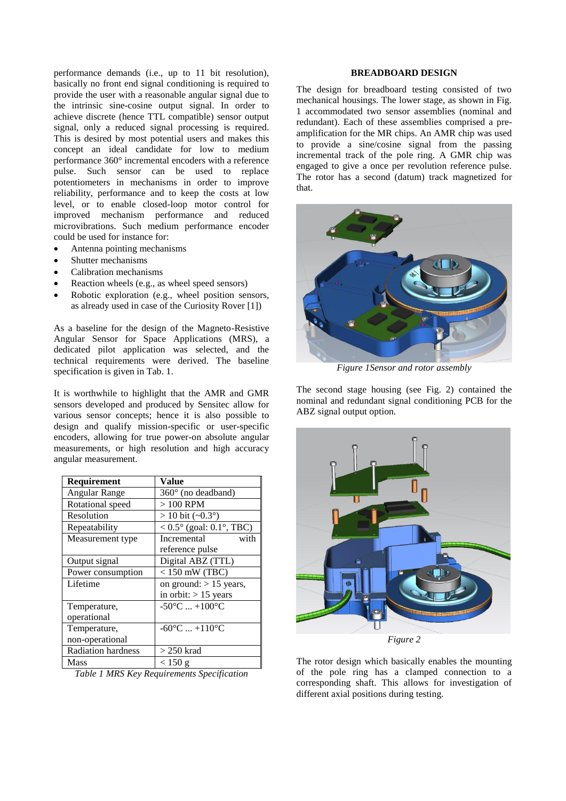performance demands (i.e., up to 11 bit resolution), basically no front end signal conditioning is required to provide the user with a reasonable angular signal due to the intrinsic sine-cosine output signal. In order to achieve discrete (hence TTL compatible) sensor output signal, only a reduced signal processing is required. This is desired by most potential users and makes this concept an ideal candidate for low to medium performance 360° incremental encoders with a reference pulse. Such sensor can be used to replace potentiometers in mechanisms in order to improve reliability, performance and to keep the costs at low level, or to enable closed-loop motor control for improved mechanism performance and reduced microvibrations. Such medium performance encoder could be used for instance for:

- Antenna pointing mechanisms
- Shutter mechanisms
- Calibration mechanisms
- Reaction wheels (e.g., as wheel speed sensors)
- Robotic exploration (e.g., wheel position sensors, as already used in case of the Curiosity Rover [1])

As a baseline for the design of the Magneto-Resistive Angular Sensor for Space Applications (MRS), a dedicated pilot application was selected, and the technical requirements were derived. The baseline specification is given in Tab. 1.

It is worthwhile to highlight that the AMR and GMR sensors developed and produced by Sensitec allow for various sensor concepts; hence it is also possible to design and qualify mission-specific or user-specific encoders, allowing for true power-on absolute angular measurements, or high resolution and high accuracy angular measurement.

| Requirement               | Value                             |  |
|---------------------------|-----------------------------------|--|
| Angular Range             | $360^{\circ}$ (no deadband)       |  |
| Rotational speed          | $>100$ RPM                        |  |
| Resolution                | $> 10$ bit (~0.3°)                |  |
| Repeatability             | $< 0.5^{\circ}$ (goal: 0.1°, TBC) |  |
| Measurement type          | Incremental<br>with               |  |
|                           | reference pulse                   |  |
| Output signal             | Digital ABZ (TTL)                 |  |
| Power consumption         | $< 150$ mW (TBC)                  |  |
| Lifetime                  | on ground: $> 15$ years,          |  |
|                           | in orbit: $> 15$ years            |  |
| Temperature,              | $-50^{\circ}$ C $+100^{\circ}$ C  |  |
| operational               |                                   |  |
| Temperature,              | $-60^{\circ}$ C $+110^{\circ}$ C  |  |
| non-operational           |                                   |  |
| <b>Radiation hardness</b> | $>$ 250 krad                      |  |
| Mass                      | $<$ 150 g                         |  |

*Table 1 MRS Key Requirements Specification*

## **BREADBOARD DESIGN**

The design for breadboard testing consisted of two mechanical housings. The lower stage, as shown in Fig. 1 accommodated two sensor assemblies (nominal and redundant). Each of these assemblies comprised a preamplification for the MR chips. An AMR chip was used to provide a sine/cosine signal from the passing incremental track of the pole ring. A GMR chip was engaged to give a once per revolution reference pulse. The rotor has a second (datum) track magnetized for that.



*Figure 1Sensor and rotor assembly*

The second stage housing (see Fig. 2) contained the nominal and redundant signal conditioning PCB for the ABZ signal output option.



The rotor design which basically enables the mounting of the pole ring has a clamped connection to a corresponding shaft. This allows for investigation of different axial positions during testing.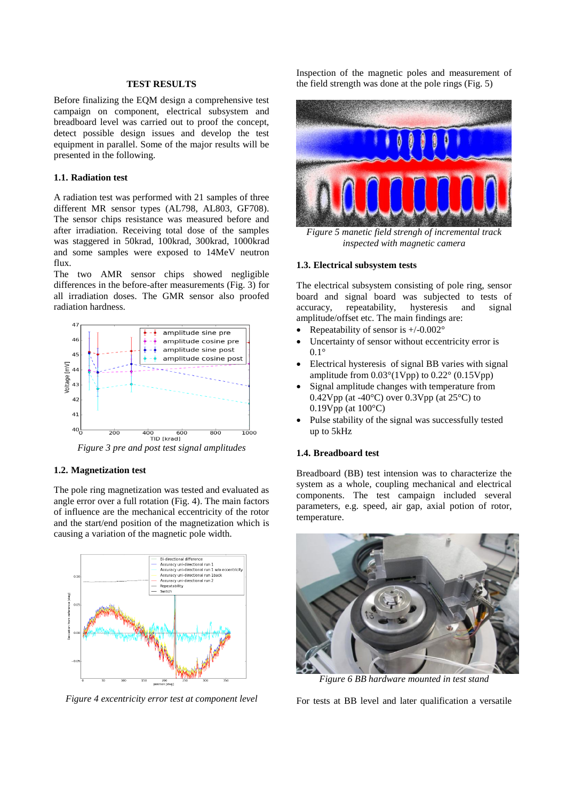#### **TEST RESULTS**

Before finalizing the EQM design a comprehensive test campaign on component, electrical subsystem and breadboard level was carried out to proof the concept, detect possible design issues and develop the test equipment in parallel. Some of the major results will be presented in the following.

# **1.1. Radiation test**

A radiation test was performed with 21 samples of three different MR sensor types (AL798, AL803, GF708). The sensor chips resistance was measured before and after irradiation. Receiving total dose of the samples was staggered in 50krad, 100krad, 300krad, 1000krad and some samples were exposed to 14MeV neutron flux.

The two AMR sensor chips showed negligible differences in the before-after measurements (Fig. 3) for all irradiation doses. The GMR sensor also proofed radiation hardness.



#### **1.2. Magnetization test**

The pole ring magnetization was tested and evaluated as angle error over a full rotation (Fig. 4). The main factors of influence are the mechanical eccentricity of the rotor and the start/end position of the magnetization which is causing a variation of the magnetic pole width.



*Figure 4 excentricity error test at component level*

Inspection of the magnetic poles and measurement of the field strength was done at the pole rings (Fig. 5)



*Figure 5 manetic field strengh of incremental track inspected with magnetic camera*

## **1.3. Electrical subsystem tests**

The electrical subsystem consisting of pole ring, sensor board and signal board was subjected to tests of accuracy, repeatability, hysteresis and signal amplitude/offset etc. The main findings are:

- Repeatability of sensor is  $+/-0.002^{\circ}$
- Uncertainty of sensor without eccentricity error is  $0.1^\circ$
- Electrical hysteresis of signal BB varies with signal amplitude from  $0.03^{\circ}(1 \text{Vpp})$  to  $0.22^{\circ}(0.15 \text{Vpp})$
- Signal amplitude changes with temperature from 0.42Vpp (at -40 $^{\circ}$ C) over 0.3Vpp (at 25 $^{\circ}$ C) to 0.19Vpp (at 100°C)
- Pulse stability of the signal was successfully tested up to 5kHz

### **1.4. Breadboard test**

Breadboard (BB) test intension was to characterize the system as a whole, coupling mechanical and electrical components. The test campaign included several parameters, e.g. speed, air gap, axial potion of rotor, temperature.



*Figure 6 BB hardware mounted in test stand*

For tests at BB level and later qualification a versatile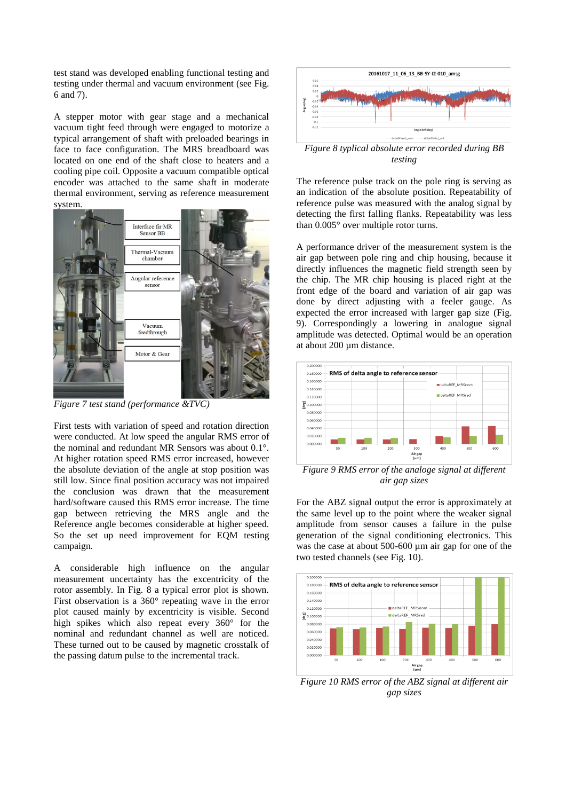test stand was developed enabling functional testing and testing under thermal and vacuum environment (see Fig. 6 and 7).

A stepper motor with gear stage and a mechanical vacuum tight feed through were engaged to motorize a typical arrangement of shaft with preloaded bearings in face to face configuration. The MRS breadboard was located on one end of the shaft close to heaters and a cooling pipe coil. Opposite a vacuum compatible optical encoder was attached to the same shaft in moderate thermal environment, serving as reference measurement system.



*Figure 7 test stand (performance &TVC)*

First tests with variation of speed and rotation direction were conducted. At low speed the angular RMS error of the nominal and redundant MR Sensors was about 0.1°. At higher rotation speed RMS error increased, however the absolute deviation of the angle at stop position was still low. Since final position accuracy was not impaired the conclusion was drawn that the measurement hard/software caused this RMS error increase. The time gap between retrieving the MRS angle and the Reference angle becomes considerable at higher speed. So the set up need improvement for EQM testing campaign.

A considerable high influence on the angular measurement uncertainty has the excentricity of the rotor assembly. In Fig. 8 a typical error plot is shown. First observation is a 360° repeating wave in the error plot caused mainly by excentricity is visible. Second high spikes which also repeat every 360° for the nominal and redundant channel as well are noticed. These turned out to be caused by magnetic crosstalk of the passing datum pulse to the incremental track.



*Figure 8 typlical absolute error recorded during BB testing*

The reference pulse track on the pole ring is serving as an indication of the absolute position. Repeatability of reference pulse was measured with the analog signal by detecting the first falling flanks. Repeatability was less than 0.005° over multiple rotor turns.

A performance driver of the measurement system is the air gap between pole ring and chip housing, because it directly influences the magnetic field strength seen by the chip. The MR chip housing is placed right at the front edge of the board and variation of air gap was done by direct adjusting with a feeler gauge. As expected the error increased with larger gap size (Fig. 9). Correspondingly a lowering in analogue signal amplitude was detected. Optimal would be an operation at about 200 µm distance.



*Figure 9 RMS error of the analoge signal at different air gap sizes*

For the ABZ signal output the error is approximately at the same level up to the point where the weaker signal amplitude from sensor causes a failure in the pulse generation of the signal conditioning electronics. This was the case at about 500-600  $\mu$ m air gap for one of the two tested channels (see Fig. 10).



*Figure 10 RMS error of the ABZ signal at different air gap sizes*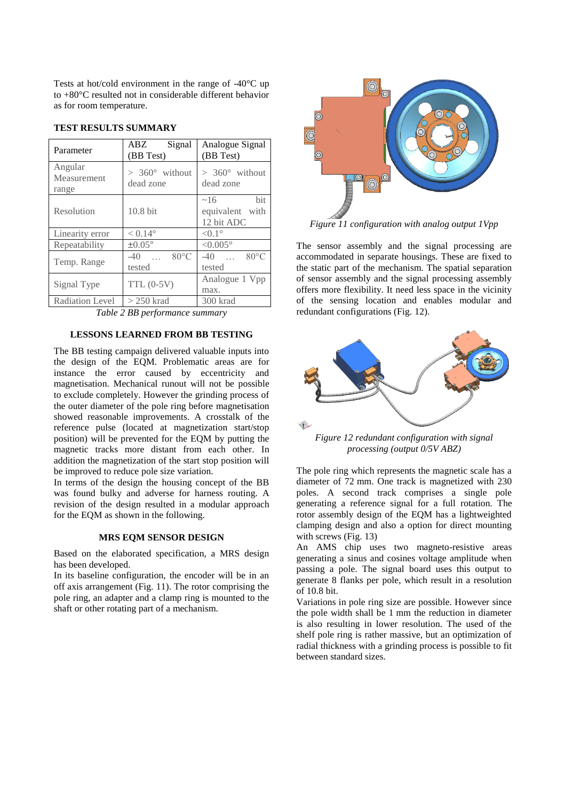Tests at hot/cold environment in the range of -40°C up to +80°C resulted not in considerable different behavior as for room temperature.

| Parameter                       | ABZ<br>Signal<br>(BB Test)         | Analogue Signal<br>(BB Test)                             |
|---------------------------------|------------------------------------|----------------------------------------------------------|
| Angular<br>Measurement<br>range | $> 360^\circ$ without<br>dead zone | $> 360^\circ$ without<br>dead zone                       |
| Resolution                      | 10.8 bit                           | $\sim$ 16<br><b>bit</b><br>equivalent with<br>12 bit ADC |
| Linearity error                 | $< 0.14^{\circ}$                   | $< 0.1^\circ$                                            |
| Repeatability                   | $\pm 0.05^{\circ}$                 | $< 0.005$ °                                              |
| Temp. Range                     | $80^{\circ}$ C<br>$-40$<br>tested  | $80^{\circ}$ C<br>$-40$<br>tested                        |
| Signal Type                     | $TTL(0-5V)$                        | Analogue 1 Vpp<br>max.                                   |
| <b>Radiation Level</b>          | $>$ 250 krad                       | 300 krad                                                 |

#### **TEST RESULTS SUMMARY**

*Table 2 BB performance summary*

## **LESSONS LEARNED FROM BB TESTING**

The BB testing campaign delivered valuable inputs into the design of the EQM. Problematic areas are for instance the error caused by eccentricity and magnetisation. Mechanical runout will not be possible to exclude completely. However the grinding process of the outer diameter of the pole ring before magnetisation showed reasonable improvements. A crosstalk of the reference pulse (located at magnetization start/stop position) will be prevented for the EQM by putting the magnetic tracks more distant from each other. In addition the magnetization of the start stop position will be improved to reduce pole size variation.

In terms of the design the housing concept of the BB was found bulky and adverse for harness routing. A revision of the design resulted in a modular approach for the EQM as shown in the following.

#### **MRS EQM SENSOR DESIGN**

Based on the elaborated specification, a MRS design has been developed.

In its baseline configuration, the encoder will be in an off axis arrangement (Fig. 11). The rotor comprising the pole ring, an adapter and a clamp ring is mounted to the shaft or other rotating part of a mechanism.



*Figure 11 configuration with analog output 1Vpp*

The sensor assembly and the signal processing are accommodated in separate housings. These are fixed to the static part of the mechanism. The spatial separation of sensor assembly and the signal processing assembly offers more flexibility. It need less space in the vicinity of the sensing location and enables modular and redundant configurations (Fig. 12).



*Figure 12 redundant configuration with signal processing (output 0/5V ABZ)*

The pole ring which represents the magnetic scale has a diameter of 72 mm. One track is magnetized with 230 poles. A second track comprises a single pole generating a reference signal for a full rotation. The rotor assembly design of the EQM has a lightweighted clamping design and also a option for direct mounting with screws (Fig. 13)

An AMS chip uses two magneto-resistive areas generating a sinus and cosines voltage amplitude when passing a pole. The signal board uses this output to generate 8 flanks per pole, which result in a resolution of 10.8 bit.

Variations in pole ring size are possible. However since the pole width shall be 1 mm the reduction in diameter is also resulting in lower resolution. The used of the shelf pole ring is rather massive, but an optimization of radial thickness with a grinding process is possible to fit between standard sizes.